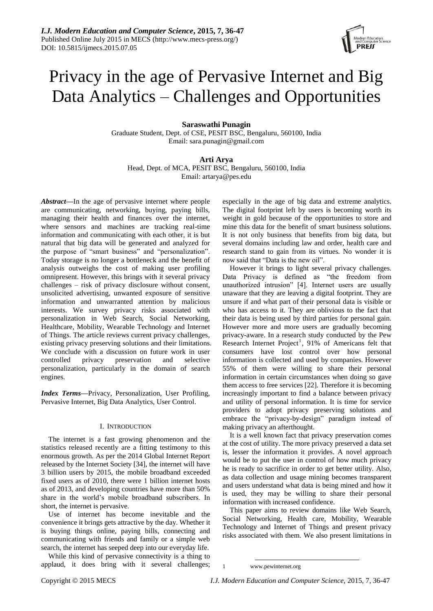# Privacy in the age of Pervasive Internet and Big Data Analytics – Challenges and Opportunities

# **Saraswathi Punagin**

Graduate Student, Dept. of CSE, PESIT BSC, Bengaluru, 560100, India Email: sara.punagin@gmail.com

# **Arti Arya**

Head, Dept. of MCA, PESIT BSC, Bengaluru, 560100, India Email: artarya@pes.edu

*Abstract***—**In the age of pervasive internet where people are communicating, networking, buying, paying bills, managing their health and finances over the internet, where sensors and machines are tracking real-time information and communicating with each other, it is but natural that big data will be generated and analyzed for the purpose of "smart business" and "personalization". Today storage is no longer a bottleneck and the benefit of analysis outweighs the cost of making user profiling omnipresent. However, this brings with it several privacy challenges – risk of privacy disclosure without consent, unsolicited advertising, unwanted exposure of sensitive information and unwarranted attention by malicious interests. We survey privacy risks associated with personalization in Web Search, Social Networking, Healthcare, Mobility, Wearable Technology and Internet of Things. The article reviews current privacy challenges, existing privacy preserving solutions and their limitations. We conclude with a discussion on future work in user controlled privacy preservation and selective personalization, particularly in the domain of search engines.

*Index Terms***—**Privacy, Personalization, User Profiling, Pervasive Internet, Big Data Analytics, User Control.

# I. INTRODUCTION

The internet is a fast growing phenomenon and the statistics released recently are a fitting testimony to this enormous growth. As per the 2014 Global Internet Report released by the Internet Society [34], the internet will have 3 billion users by 2015, the mobile broadband exceeded fixed users as of 2010, there were 1 billion internet hosts as of 2013, and developing countries have more than 50% share in the world's mobile broadband subscribers. In short, the internet is pervasive.

Use of internet has become inevitable and the convenience it brings gets attractive by the day. Whether it is buying things online, paying bills, connecting and communicating with friends and family or a simple web search, the internet has seeped deep into our everyday life.

While this kind of pervasive connectivity is a thing to applaud, it does bring with it several challenges; especially in the age of big data and extreme analytics. The digital footprint left by users is becoming worth its weight in gold because of the opportunities to store and mine this data for the benefit of smart business solutions. It is not only business that benefits from big data, but several domains including law and order, health care and research stand to gain from its virtues. No wonder it is now said that "Data is the new oil".

However it brings to light several privacy challenges. Data Privacy is defined as "the freedom from unauthorized intrusion" [4]. Internet users are usually unaware that they are leaving a digital footprint. They are unsure if and what part of their personal data is visible or who has access to it. They are oblivious to the fact that their data is being used by third parties for personal gain. However more and more users are gradually becoming privacy-aware. In a research study conducted by the Pew Research Internet Project<sup>1</sup>, 91% of Americans felt that consumers have lost control over how personal information is collected and used by companies. However 55% of them were willing to share their personal information in certain circumstances when doing so gave them access to free services [22]. Therefore it is becoming increasingly important to find a balance between privacy and utility of personal information. It is time for service providers to adopt privacy preserving solutions and embrace the "privacy-by-design" paradigm instead of making privacy an afterthought.

It is a well known fact that privacy preservation comes at the cost of utility. The more privacy preserved a data set is, lesser the information it provides. A novel approach would be to put the user in control of how much privacy he is ready to sacrifice in order to get better utility. Also, as data collection and usage mining becomes transparent and users understand what data is being mined and how it is used, they may be willing to share their personal information with increased confidence.

This paper aims to review domains like Web Search, Social Networking, Health care, Mobility, Wearable Technology and Internet of Things and present privacy risks associated with them. We also present limitations in

<sup>1</sup> 1 www.pewinternet.org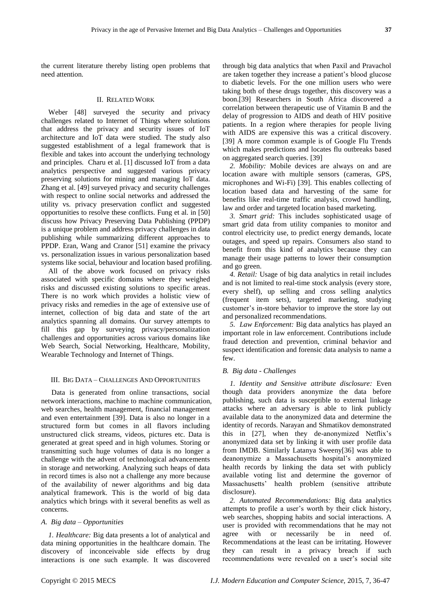the current literature thereby listing open problems that need attention.

## II. RELATED WORK

Weber [48] surveyed the security and privacy challenges related to Internet of Things where solutions that address the privacy and security issues of IoT architecture and IoT data were studied. The study also suggested establishment of a legal framework that is flexible and takes into account the underlying technology and principles. Charu et al. [1] discussed IoT from a data analytics perspective and suggested various privacy preserving solutions for mining and managing IoT data. Zhang et al. [49] surveyed privacy and security challenges with respect to online social networks and addressed the utility vs. privacy preservation conflict and suggested opportunities to resolve these conflicts. Fung et al. in [50] discuss how Privacy Preserving Data Publishing (PPDP) is a unique problem and address privacy challenges in data publishing while summarizing different approaches to PPDP. Eran, Wang and Cranor [51] examine the privacy vs. personalization issues in various personalization based systems like social, behaviour and location based profiling.

All of the above work focused on privacy risks associated with specific domains where they weighed risks and discussed existing solutions to specific areas. There is no work which provides a holistic view of privacy risks and remedies in the age of extensive use of internet, collection of big data and state of the art analytics spanning all domains. Our survey attempts to fill this gap by surveying privacy/personalization challenges and opportunities across various domains like Web Search, Social Networking, Healthcare, Mobility, Wearable Technology and Internet of Things.

#### III. BIG DATA – CHALLENGES AND OPPORTUNITIES

Data is generated from online transactions, social network interactions, machine to machine communication, web searches, health management, financial management and even entertainment [39]. Data is also no longer in a structured form but comes in all flavors including unstructured click streams, videos, pictures etc. Data is generated at great speed and in high volumes. Storing or transmitting such huge volumes of data is no longer a challenge with the advent of technological advancements in storage and networking. Analyzing such heaps of data in record times is also not a challenge any more because of the availability of newer algorithms and big data analytical framework. This is the world of big data analytics which brings with it several benefits as well as concerns.

#### *A. Big data – Opportunities*

*1. Healthcare:* Big data presents a lot of analytical and data mining opportunities in the healthcare domain. The discovery of inconceivable side effects by drug interactions is one such example. It was discovered through big data analytics that when Paxil and Pravachol are taken together they increase a patient's blood glucose to diabetic levels. For the one million users who were taking both of these drugs together, this discovery was a boon.[39] Researchers in South Africa discovered a correlation between therapeutic use of Vitamin B and the delay of progression to AIDS and death of HIV positive patients. In a region where therapies for people living with AIDS are expensive this was a critical discovery. [39] A more common example is of Google Flu Trends which makes predictions and locates flu outbreaks based on aggregated search queries. [39]

*2. Mobility:* Mobile devices are always on and are location aware with multiple sensors (cameras, GPS, microphones and Wi-Fi) [39]. This enables collecting of location based data and harvesting of the same for benefits like real-time traffic analysis, crowd handling, law and order and targeted location based marketing.

*3. Smart grid:* This includes sophisticated usage of smart grid data from utility companies to monitor and control electricity use, to predict energy demands, locate outages, and speed up repairs. Consumers also stand to benefit from this kind of analytics because they can manage their usage patterns to lower their consumption and go green.

*4. Retail:* Usage of big data analytics in retail includes and is not limited to real-time stock analysis (every store, every shelf), up selling and cross selling analytics (frequent item sets), targeted marketing, studying customer's in-store behavior to improve the store lay out and personalized recommendations.

*5. Law Enforcement:* Big data analytics has played an important role in law enforcement. Contributions include fraud detection and prevention, criminal behavior and suspect identification and forensic data analysis to name a few.

#### *B. Big data - Challenges*

*1. Identity and Sensitive attribute disclosure:* Even though data providers anonymize the data before publishing, such data is susceptible to external linkage attacks where an adversary is able to link publicly available data to the anonymized data and determine the identity of records. Narayan and Shmatikov demonstrated this in [27], when they de-anonymized Netflix's anonymized data set by linking it with user profile data from IMDB. Similarly Latanya Sweeny[36] was able to deanonymize a Massachusetts hospital's anonymized health records by linking the data set with publicly available voting list and determine the governor of Massachusetts' health problem (sensitive attribute disclosure).

*2. Automated Recommendations:* Big data analytics attempts to profile a user's worth by their click history, web searches, shopping habits and social interactions. A user is provided with recommendations that he may not agree with or necessarily be in need of. Recommendations at the least can be irritating. However they can result in a privacy breach if such recommendations were revealed on a user's social site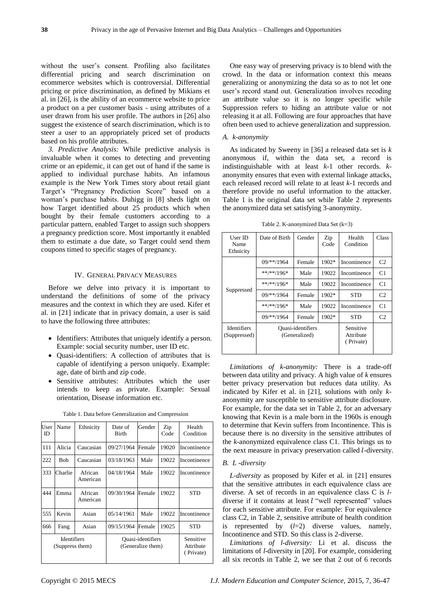without the user's consent. Profiling also facilitates differential pricing and search discrimination on ecommerce websites which is controversial. Differential pricing or price discrimination, as defined by Mikians et al. in [26], is the ability of an ecommerce website to price a product on a per customer basis - using attributes of a user drawn from his user profile. The authors in [26] also suggest the existence of search discrimination, which is to steer a user to an appropriately priced set of products based on his profile attributes.

*3. Predictive Analysis:* While predictive analysis is invaluable when it comes to detecting and preventing crime or an epidemic, it can get out of hand if the same is applied to individual purchase habits. An infamous example is the New York Times story about retail giant Target's "Pregnancy Prediction Score" based on a woman's purchase habits. Duhigg in [8] sheds light on how Target identified about 25 products which when bought by their female customers according to a particular pattern, enabled Target to assign such shoppers a pregnancy prediction score. Most importantly it enabled them to estimate a due date, so Target could send them coupons timed to specific stages of pregnancy.

# IV. GENERAL PRIVACY MEASURES

Before we delve into privacy it is important to understand the definitions of some of the privacy measures and the context in which they are used. Kifer et al. in [21] indicate that in privacy domain, a user is said to have the following three attributes:

- Identifiers: Attributes that uniquely identify a person. Example: social security number, user ID etc.
- Quasi-identifiers: A collection of attributes that is capable of identifying a person uniquely. Example: age, date of birth and zip code.
- Sensitive attributes: Attributes which the user intends to keep as private. Example: Sexual orientation, Disease information etc.

| User<br>ID                            | Name    | Ethnicity           | Date of<br><b>Birth</b>                | Gender | Zip<br>Code | Health<br>Condition                 |
|---------------------------------------|---------|---------------------|----------------------------------------|--------|-------------|-------------------------------------|
| 111                                   | Alicia  | Caucasian           | 09/27/1964                             | Female | 19020       | Incontinence                        |
| 222                                   | Bob     | Caucasian           | 03/18/1963                             | Male   | 19022       | Incontinence                        |
| 333                                   | Charlie | African<br>American | 04/18/1964                             | Male   | 19022       | Incontinence                        |
| 444                                   | Emma    | African<br>American | 09/30/1964                             | Female | 19022       | <b>STD</b>                          |
| 555                                   | Kevin   | Asian               | 05/14/1961                             | Male   | 19022       | Incontinence                        |
| 666                                   | Fang    | Asian               | 09/15/1964                             | Female | 19025       | <b>STD</b>                          |
| <b>Identifiers</b><br>(Suppress them) |         |                     | Quasi-identifiers<br>(Generalize them) |        |             | Sensitive<br>Attribute<br>(Private) |

Table 1. Data before Generalization and Compression

One easy way of preserving privacy is to blend with the crowd. In the data or information context this means generalizing or anonymizing the data so as to not let one user's record stand out. Generalization involves recoding an attribute value so it is no longer specific while Suppression refers to hiding an attribute value or not releasing it at all. Following are four approaches that have often been used to achieve generalization and suppression.

#### *A. k-anonymity*

As indicated by Sweeny in [36] a released data set is *k* anonymous if, within the data set, a record is indistinguishable with at least *k*-1 other records. *k*anonymity ensures that even with external linkage attacks, each released record will relate to at least *k*-1 records and therefore provide no useful information to the attacker. Table 1 is the original data set while Table 2 represents the anonymized data set satisfying 3-anonymity.

Table 2. K-anonymized Data Set (k=3)

| User ID<br>Name<br>Ethnicity                                             | Date of Birth  | Gender | Zip<br>Code                         | Health<br>Condition | Class          |
|--------------------------------------------------------------------------|----------------|--------|-------------------------------------|---------------------|----------------|
|                                                                          | $09$ /**/1964  | Female | 1902*                               | Incontinence        | C <sub>2</sub> |
|                                                                          | $**/**/196*$   | Male   | 19022                               | Incontinence        | C <sub>1</sub> |
|                                                                          | $***$ /**/196* | Male   | 19022                               | Incontinence        | C1             |
| Suppressed                                                               | $09$ /**/1964  | Female | 1902*                               | <b>STD</b>          | C <sub>2</sub> |
|                                                                          | $**/**/196*$   | Male   | 19022                               | Incontinence        | C1             |
|                                                                          | 09/**/1964     | Female | 1902*                               | <b>STD</b>          | C <sub>2</sub> |
| <b>Identifiers</b><br>Quasi-identifiers<br>(Generalized)<br>(Suppressed) |                |        | Sensitive<br>Attribute<br>(Private) |                     |                |

*Limitations of k-anonymity:* There is a trade-off between data utility and privacy. A high value of *k* ensures better privacy preservation but reduces data utility. As indicated by Kifer et al. in [21], solutions with only *k*anonymity are susceptible to sensitive attribute disclosure. For example, for the data set in Table 2, for an adversary knowing that Kevin is a male born in the 1960s is enough to determine that Kevin suffers from Incontinence. This is because there is no diversity in the sensitive attributes of the *k*-anonymized equivalence class C1. This brings us to the next measure in privacy preservation called *l*-diversity.

# *B. L -diversity*

*L-diversity* as proposed by Kifer et al. in [21] ensures that the sensitive attributes in each equivalence class are diverse. A set of records in an equivalence class C is *l*diverse if it contains at least  $l$  "well represented" values for each sensitive attribute. For example: For equivalence class C2, in Table 2, sensitive attribute of health condition is represented by (*l*=2) diverse values, namely, Incontinence and STD. So this class is 2-diverse.

*Limitations of l-diversity:* Li et al. discuss the limitations of *l*-diversity in [20]. For example, considering all six records in Table 2, we see that 2 out of 6 records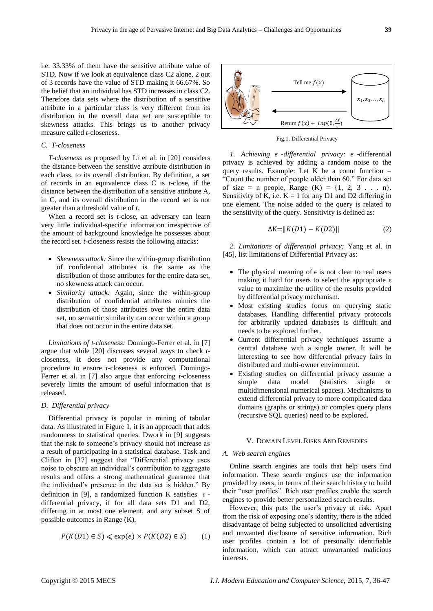i.e. 33.33% of them have the sensitive attribute value of STD. Now if we look at equivalence class C2 alone, 2 out of 3 records have the value of STD making it 66.67%. So the belief that an individual has STD increases in class C2. Therefore data sets where the distribution of a sensitive attribute in a particular class is very different from its distribution in the overall data set are susceptible to skewness attacks. This brings us to another privacy measure called *t*-closeness.

# *C. T-closeness*

*T-closeness* as proposed by Li et al. in [20] considers the distance between the sensitive attribute distribution in each class, to its overall distribution. By definition, a set of records in an equivalence class C is *t*-close, if the distance between the distribution of a sensitive attribute A, in C, and its overall distribution in the record set is not greater than a threshold value of *t*.

When a record set is *t*-close, an adversary can learn very little individual-specific information irrespective of the amount of background knowledge he possesses about the record set. *t*-closeness resists the following attacks:

- *Skewness attack:* Since the within-group distribution of confidential attributes is the same as the distribution of those attributes for the entire data set, no skewness attack can occur.
- *Similarity attack:* Again, since the within-group distribution of confidential attributes mimics the distribution of those attributes over the entire data set, no semantic similarity can occur within a group that does not occur in the entire data set.

*Limitations of t-closeness:* Domingo-Ferrer et al. in [7] argue that while [20] discusses several ways to check *t*closeness, it does not provide any computational procedure to ensure *t*-closeness is enforced. Domingo-Ferrer et al. in [7] also argue that enforcing *t*-closeness severely limits the amount of useful information that is released.

#### *D. Differential privacy*

Differential privacy is popular in mining of tabular data. As illustrated in Figure 1, it is an approach that adds randomness to statistical queries. Dwork in [9] suggests that the risk to someone's privacy should not increase as a result of participating in a statistical database. Task and Clifton in [37] suggest that "Differential privacy uses noise to obscure an individual's contribution to aggregate results and offers a strong mathematical guarantee that the individual's presence in the data set is hidden." By definition in [9], a randomized function K satisfies  $\varepsilon$  differential privacy, if for all data sets D1 and D2, differing in at most one element, and any subset S of possible outcomes in Range (K),

$$
P(K(D1) \in S) \le \exp(\epsilon) \times P(K(D2) \in S) \tag{1}
$$



Fig.1. Differential Privacy

*1. Achieving*  $\epsilon$  *-differential privacy:*  $\epsilon$  -differential privacy is achieved by adding a random noise to the query results. Example: Let  $\overline{K}$  be a count function = "Count the number of people older than 60." For data set of size = n people, Range  $(K) = \{1, 2, 3, \ldots, n\}.$ Sensitivity of K, i.e.  $K = 1$  for any D1 and D2 differing in one element. The noise added to the query is related to the sensitivity of the query. Sensitivity is defined as:

$$
\Delta K = ||K(D1) - K(D2)|| \tag{2}
$$

*2. Limitations of differential privacy:* Yang et al. in [45], list limitations of Differential Privacy as:

- The physical meaning of  $\epsilon$  is not clear to real users making it hard for users to select the appropriate ε value to maximize the utility of the results provided by differential privacy mechanism.
- Most existing studies focus on querying static databases. Handling differential privacy protocols for arbitrarily updated databases is difficult and needs to be explored further.
- Current differential privacy techniques assume a central database with a single owner. It will be interesting to see how differential privacy fairs in distributed and multi-owner environment.
- Existing studies on differential privacy assume a simple data model (statistics single or multidimensional numerical spaces). Mechanisms to extend differential privacy to more complicated data domains (graphs or strings) or complex query plans (recursive SQL queries) need to be explored.

#### V. DOMAIN LEVEL RISKS AND REMEDIES

#### *A. Web search engines*

Online search engines are tools that help users find information. These search engines use the information provided by users, in terms of their search history to build their "user profiles". Rich user profiles enable the search engines to provide better personalized search results.

However, this puts the user's privacy at risk. Apart from the risk of exposing one's identity, there is the added disadvantage of being subjected to unsolicited advertising and unwanted disclosure of sensitive information. Rich user profiles contain a lot of personally identifiable information, which can attract unwarranted malicious interests.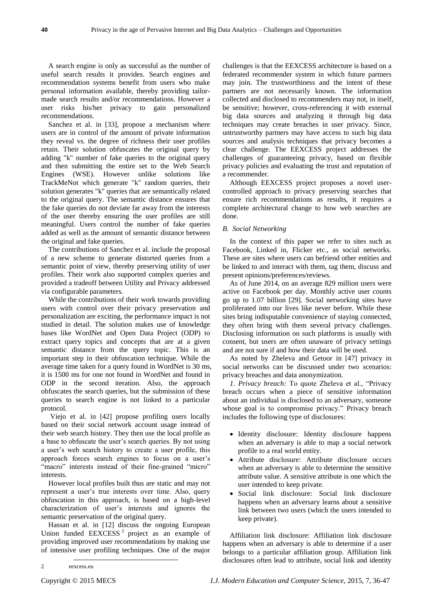A search engine is only as successful as the number of useful search results it provides. Search engines and recommendation systems benefit from users who make personal information available, thereby providing tailormade search results and/or recommendations. However a user risks his/her privacy to gain personalized recommendations.

Sanchez et al. in [33], propose a mechanism where users are in control of the amount of private information they reveal vs. the degree of richness their user profiles retain. Their solution obfuscates the original query by adding "k" number of fake queries to the original query and then submitting the entire set to the Web Search Engines (WSE). However unlike solutions like TrackMeNot which generate "k" random queries, their solution generates "k" queries that are semantically related to the original query. The semantic distance ensures that the fake queries do not deviate far away from the interests of the user thereby ensuring the user profiles are still meaningful. Users control the number of fake queries added as well as the amount of semantic distance between the original and fake queries.

The contributions of Sanchez et al. include the proposal of a new scheme to generate distorted queries from a semantic point of view, thereby preserving utility of user profiles. Their work also supported complex queries and provided a tradeoff between Utility and Privacy addressed via configurable parameters.

While the contributions of their work towards providing users with control over their privacy preservation and personalization are exciting, the performance impact is not studied in detail. The solution makes use of knowledge bases like WordNet and Open Data Project (ODP) to extract query topics and concepts that are at a given semantic distance from the query topic. This is an important step in their obfuscation technique. While the average time taken for a query found in WordNet is 30 ms, it is 1500 ms for one not found in WordNet and found in ODP in the second iteration. Also, the approach obfuscates the search queries, but the submission of these queries to search engine is not linked to a particular protocol.

Viejo et al. in [42] propose profiling users locally based on their social network account usage instead of their web search history. They then use the local profile as a base to obfuscate the user's search queries. By not using a user's web search history to create a user profile, this approach forces search engines to focus on a user's "macro" interests instead of their fine-grained "micro" interests.

However local profiles built thus are static and may not represent a user's true interests over time. Also, query obfuscation in this approach, is based on a high-level characterization of user's interests and ignores the semantic preservation of the original query.

Hassan et al. in [12] discuss the ongoing European Union funded  $EEXCESS<sup>2</sup>$  project as an example of providing improved user recommendations by making use of intensive user profiling techniques. One of the major

challenges is that the EEXCESS architecture is based on a federated recommender system in which future partners may join. The trustworthiness and the intent of these partners are not necessarily known. The information collected and disclosed to recommenders may not, in itself, be sensitive; however, cross-referencing it with external big data sources and analyzing it through big data techniques may create breaches in user privacy. Since, untrustworthy partners may have access to such big data sources and analysis techniques that privacy becomes a clear challenge. The EEXCESS project addresses the challenges of guaranteeing privacy, based on flexible privacy policies and evaluating the trust and reputation of a recommender.

Although EEXCESS project proposes a novel usercontrolled approach to privacy preserving searches that ensure rich recommendations as results, it requires a complete architectural change to how web searches are done.

### *B. Social Networking*

In the context of this paper we refer to sites such as Facebook, Linked in, Flicker etc., as social networks. These are sites where users can befriend other entities and be linked to and interact with them, tag them, discuss and present opinions/preferences/reviews.

As of June 2014, on an average 829 million users were active on Facebook per day. Monthly active user counts go up to 1.07 billion [29]. Social networking sites have proliferated into our lives like never before. While these sites bring indisputable convenience of staying connected, they often bring with them several privacy challenges. Disclosing information on such platforms is usually with consent, but users are often unaware of privacy settings and are not sure if and how their data will be used.

As noted by Zheleva and Getoor in [47] privacy in social networks can be discussed under two scenarios: privacy breaches and data anonymization.

*1. Privacy breach:* To quote Zheleva et al., "Privacy breach occurs when a piece of sensitive information about an individual is disclosed to an adversary, someone whose goal is to compromise privacy." Privacy breach includes the following type of disclosures:

- Identity disclosure: Identity disclosure happens when an adversary is able to map a social network profile to a real world entity.
- Attribute disclosure: Attribute disclosure occurs when an adversary is able to determine the sensitive attribute value. A sensitive attribute is one which the user intended to keep private.
- Social link disclosure: Social link disclosure happens when an adversary learns about a sensitive link between two users (which the users intended to keep private).

Affiliation link disclosure: Affiliation link disclosure happens when an adversary is able to determine if a user belongs to a particular affiliation group. Affiliation link disclosures often lead to attribute, social link and identity

-

<sup>2</sup> eexcess.eu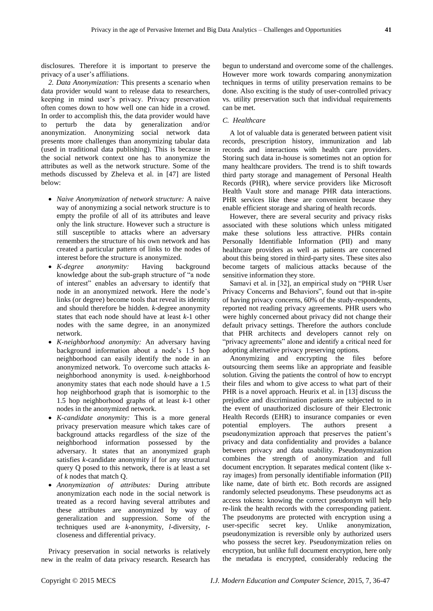disclosures. Therefore it is important to preserve the privacy of a user's affiliations.

*2. Data Anonymization:* This presents a scenario when data provider would want to release data to researchers, keeping in mind user's privacy. Privacy preservation often comes down to how well one can hide in a crowd. In order to accomplish this, the data provider would have to perturb the data by generalization and/or anonymization. Anonymizing social network data presents more challenges than anonymizing tabular data (used in traditional data publishing). This is because in the social network context one has to anonymize the attributes as well as the network structure. Some of the methods discussed by Zheleva et al. in [47] are listed below:

- *Naive Anonymization of network structure:* A naive way of anonymizing a social network structure is to empty the profile of all of its attributes and leave only the link structure. However such a structure is still susceptible to attacks where an adversary remembers the structure of his own network and has created a particular pattern of links to the nodes of interest before the structure is anonymized.
- *K-degree anonymity:* Having background knowledge about the sub-graph structure of "a node of interest" enables an adversary to identify that node in an anonymized network. Here the node's links (or degree) become tools that reveal its identity and should therefore be hidden. *k*-degree anonymity states that each node should have at least *k*-1 other nodes with the same degree, in an anonymized network.
- *K-neighborhood anonymity:* An adversary having background information about a node's 1.5 hop neighborhood can easily identify the node in an anonymized network. To overcome such attacks *k*neighborhood anonymity is used. *k*-neighborhood anonymity states that each node should have a 1.5 hop neighborhood graph that is isomorphic to the 1.5 hop neighborhood graphs of at least *k*-1 other nodes in the anonymized network.
- *K-candidate anonymity:* This is a more general privacy preservation measure which takes care of background attacks regardless of the size of the neighborhood information possessed by the adversary. It states that an anonymized graph satisfies *k*-candidate anonymity if for any structural query Q posed to this network, there is at least a set of *k* nodes that match Q.
- *Anonymization of attributes:* During attribute anonymization each node in the social network is treated as a record having several attributes and these attributes are anonymized by way of generalization and suppression. Some of the techniques used are *k*-anonymity, *l*-diversity, *t*closeness and differential privacy.

Privacy preservation in social networks is relatively new in the realm of data privacy research. Research has

begun to understand and overcome some of the challenges. However more work towards comparing anonymization techniques in terms of utility preservation remains to be done. Also exciting is the study of user-controlled privacy vs. utility preservation such that individual requirements can be met.

# *C. Healthcare*

A lot of valuable data is generated between patient visit records, prescription history, immunization and lab records and interactions with health care providers. Storing such data in-house is sometimes not an option for many healthcare providers. The trend is to shift towards third party storage and management of Personal Health Records (PHR), where service providers like Microsoft Health Vault store and manage PHR data interactions. PHR services like these are convenient because they enable efficient storage and sharing of health records.

However, there are several security and privacy risks associated with these solutions which unless mitigated make these solutions less attractive. PHRs contain Personally Identifiable Information (PII) and many healthcare providers as well as patients are concerned about this being stored in third-party sites. These sites also become targets of malicious attacks because of the sensitive information they store.

Samavi et al. in [32], an empirical study on "PHR User Privacy Concerns and Behaviors", found out that in-spite of having privacy concerns, 60% of the study-respondents, reported not reading privacy agreements. PHR users who were highly concerned about privacy did not change their default privacy settings. Therefore the authors conclude that PHR architects and developers cannot rely on "privacy agreements" alone and identify a critical need for adopting alternative privacy preserving options.

Anonymizing and encrypting the files before outsourcing them seems like an appropriate and feasible solution. Giving the patients the control of how to encrypt their files and whom to give access to what part of their PHR is a novel approach. Heurix et al. in [13] discuss the prejudice and discrimination patients are subjected to in the event of unauthorized disclosure of their Electronic Health Records (EHR) to insurance companies or even potential employers. The authors present a pseudonymization approach that preserves the patient's privacy and data confidentiality and provides a balance between privacy and data usability. Pseudonymization combines the strength of anonymization and full document encryption. It separates medical content (like xray images) from personally identifiable information (PII) like name, date of birth etc. Both records are assigned randomly selected pseudonyms. These pseudonyms act as access tokens: knowing the correct pseudonym will help re-link the health records with the corresponding patient. The pseudonyms are protected with encryption using a user-specific secret key. Unlike anonymization, pseudonymization is reversible only by authorized users who possess the secret key. Pseudonymization relies on encryption, but unlike full document encryption, here only the metadata is encrypted, considerably reducing the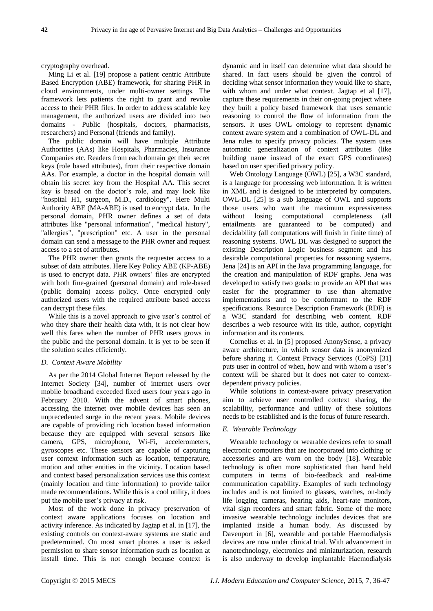cryptography overhead.

Ming Li et al. [19] propose a patient centric Attribute Based Encryption (ABE) framework, for sharing PHR in cloud environments, under multi-owner settings. The framework lets patients the right to grant and revoke access to their PHR files. In order to address scalable key management, the authorized users are divided into two domains - Public (hospitals, doctors, pharmacists, researchers) and Personal (friends and family).

The public domain will have multiple Attribute Authorities (AAs) like Hospitals, Pharmacies, Insurance Companies etc. Readers from each domain get their secret keys (role based attributes), from their respective domain AAs. For example, a doctor in the hospital domain will obtain his secret key from the Hospital AA. This secret key is based on the doctor's role, and may look like "hospital H1, surgeon, M.D., cardiology". Here Multi Authority ABE (MA-ABE) is used to encrypt data. In the personal domain, PHR owner defines a set of data attributes like "personal information", "medical history", "allergies", "prescription" etc. A user in the personal domain can send a message to the PHR owner and request access to a set of attributes.

The PHR owner then grants the requester access to a subset of data attributes. Here Key Policy ABE (KP-ABE) is used to encrypt data. PHR owners' files are encrypted with both fine-grained (personal domain) and role-based (public domain) access policy. Once encrypted only authorized users with the required attribute based access can decrypt these files.

While this is a novel approach to give user's control of who they share their health data with, it is not clear how well this fares when the number of PHR users grows in the public and the personal domain. It is yet to be seen if the solution scales efficiently.

#### *D. Context Aware Mobility*

As per the 2014 Global Internet Report released by the Internet Society [34], number of internet users over mobile broadband exceeded fixed users four years ago in February 2010. With the advent of smart phones, accessing the internet over mobile devices has seen an unprecedented surge in the recent years. Mobile devices are capable of providing rich location based information because they are equipped with several sensors like camera, GPS, microphone, Wi-Fi, accelerometers, gyroscopes etc. These sensors are capable of capturing user context information such as location, temperature, motion and other entities in the vicinity. Location based and context based personalization services use this context (mainly location and time information) to provide tailor made recommendations. While this is a cool utility, it does put the mobile user's privacy at risk.

Most of the work done in privacy preservation of context aware applications focuses on location and activity inference. As indicated by Jagtap et al. in [17], the existing controls on context-aware systems are static and predetermined. On most smart phones a user is asked permission to share sensor information such as location at install time. This is not enough because context is

dynamic and in itself can determine what data should be shared. In fact users should be given the control of deciding what sensor information they would like to share, with whom and under what context. Jagtap et al [17], capture these requirements in their on-going project where they built a policy based framework that uses semantic reasoning to control the flow of information from the sensors. It uses OWL ontology to represent dynamic context aware system and a combination of OWL-DL and Jena rules to specify privacy policies. The system uses automatic generalization of context attributes (like building name instead of the exact GPS coordinates) based on user specified privacy policy.

Web Ontology Language (OWL) [25], a W3C standard, is a language for processing web information. It is written in XML and is designed to be interpreted by computers. OWL-DL [25] is a sub language of OWL and supports those users who want the maximum expressiveness without losing computational completeness (all entailments are guaranteed to be computed) and decidability (all computations will finish in finite time) of reasoning systems. OWL DL was designed to support the existing Description Logic business segment and has desirable computational properties for reasoning systems. Jena [24] is an API in the Java programming language, for the creation and manipulation of RDF graphs. Jena was developed to satisfy two goals: to provide an API that was easier for the programmer to use than alternative implementations and to be conformant to the RDF specifications. Resource Description Framework (RDF) is a W3C standard for describing web content. RDF describes a web resource with its title, author, copyright information and its contents.

Cornelius et al. in [5] proposed AnonySense, a privacy aware architecture, in which sensor data is anonymized before sharing it. Context Privacy Services (CoPS) [31] puts user in control of when, how and with whom a user's context will be shared but it does not cater to contextdependent privacy policies.

While solutions in context-aware privacy preservation aim to achieve user controlled context sharing, the scalability, performance and utility of these solutions needs to be established and is the focus of future research.

#### *E. Wearable Technology*

Wearable technology or wearable devices refer to small electronic computers that are incorporated into clothing or accessories and are worn on the body [18]. Wearable technology is often more sophisticated than hand held computers in terms of bio-feedback and real-time communication capability. Examples of such technology includes and is not limited to glasses, watches, on-body life logging cameras, hearing aids, heart-rate monitors, vital sign recorders and smart fabric. Some of the more invasive wearable technology includes devices that are implanted inside a human body. As discussed by Davenport in [6], wearable and portable Haemodialysis devices are now under clinical trial. With advancement in nanotechnology, electronics and miniaturization, research is also underway to develop implantable Haemodialysis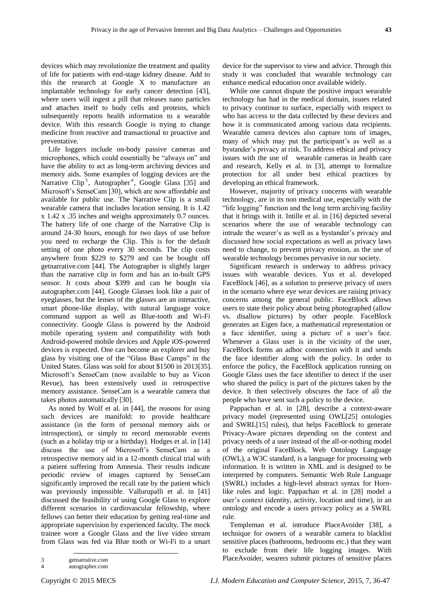devices which may revolutionize the treatment and quality of life for patients with end-stage kidney disease. Add to this the research at Google X to manufacture an implantable technology for early cancer detection [43], where users will ingest a pill that releases nano particles and attaches itself to body cells and proteins, which subsequently reports health information to a wearable device. With this research Google is trying to change medicine from reactive and transactional to proactive and preventative.

Life loggers include on-body passive cameras and microphones, which could essentially be "always on" and have the ability to act as long-term archiving devices and memory aids. Some examples of logging devices are the Narrative Clip<sup>3</sup>, Autographer<sup>4</sup>, Google Glass [35] and Microsoft's SenseCam [30], which are now affordable and available for public use. The Narrative Clip is a small wearable camera that includes location sensing. It is 1.42 x 1.42 x .35 inches and weighs approximately 0.7 ounces. The battery life of one charge of the Narrative Clip is around 24-30 hours, enough for two days of use before you need to recharge the Clip. This is for the default setting of one photo every 30 seconds. The clip costs anywhere from \$229 to \$279 and can be bought off getnarrative.com [44]. The Autographer is slightly larger than the narrative clip in form and has an in-built GPS sensor. It costs about \$399 and can be bought via autographer.com [44]. Google Glasses look like a pair of eyeglasses, but the lenses of the glasses are an interactive, smart phone-like display, with natural language voice command support as well as Blue-tooth and Wi-Fi connectivity. Google Glass is powered by the Android mobile operating system and compatibility with both Android-powered mobile devices and Apple iOS-powered devices is expected. One can become an explorer and buy glass by visiting one of the "Glass Base Camps" in the United States. Glass was sold for about \$1500 in 2013[35]. Microsoft's SenseCam (now available to buy as Vicon Revue), has been extensively used in retrospective memory assistance. SenseCam is a wearable camera that takes photos automatically [30].

As noted by Wolf et al. in [44], the reasons for using such devices are manifold: to provide healthcare assistance (in the form of personal memory aids or introspection), or simply to record memorable events (such as a holiday trip or a birthday). Hodges et al. in [14] discuss the use of Microsoft's SenseCam as a retrospective memory aid in a 12-month clinical trial with a patient suffering from Amnesia. Their results indicate periodic review of images captured by SenseCam significantly improved the recall rate by the patient which was previously impossible. Vallurupalli et al. in [41] discussed the feasibility of using Google Glass to explore different scenarios in cardiovascular fellowship, where fellows can better their education by getting real-time and appropriate supervision by experienced faculty. The mock trainee wore a Google Glass and the live video stream from Glass was fed via Blue tooth or Wi-Fi to a smart

device for the supervisor to view and advice. Through this study it was concluded that wearable technology can enhance medical education once available widely.

While one cannot dispute the positive impact wearable technology has had in the medical domain, issues related to privacy continue to surface, especially with respect to who has access to the data collected by these devices and how it is communicated among various data recipients. Wearable camera devices also capture tons of images, many of which may put the participant's as well as a bystander's privacy at risk. To address ethical and privacy issues with the use of wearable cameras in health care and research, Kelly et al. in [3], attempt to formalize protection for all under best ethical practices by developing an ethical framework.

However, majority of privacy concerns with wearable technology, are in its non medical use, especially with the "life logging" function and the long term archiving facility that it brings with it. Intille et al. in [16] depicted several scenarios where the use of wearable technology can intrude the wearer's as well as a bystander's privacy and discussed how social expectations as well as privacy laws need to change, to prevent privacy erosion, as the use of wearable technology becomes pervasive in our society.

Significant research is underway to address privacy issues with wearable devices. Yus et al. developed FaceBlock [46], as a solution to preserve privacy of users in the scenario where eye wear devices are raising privacy concerns among the general public. FaceBlock allows users to state their policy about being photographed (allow vs. disallow pictures) by other people. FaceBlock generates an Eigen face, a mathematical representation or a face identifier, using a picture of a user's face. Whenever a Glass user is in the vicinity of the user, FaceBlock forms an adhoc connection with it and sends the face identifier along with the policy. In order to enforce the policy, the FaceBlock application running on Google Glass uses the face identifier to detect if the user who shared the policy is part of the pictures taken by the device. It then selectively obscures the face of all the people who have sent such a policy to the device.

Pappachan et al. in [28], describe a context-aware privacy model (represented using OWL[25] ontologies and SWRL[15] rules), that helps FaceBlock to generate Privacy-Aware pictures depending on the context and privacy needs of a user instead of the all-or-nothing model of the original FaceBlock. Web Ontology Language (OWL), a W3C standard, is a language for processing web information. It is written in XML and is designed to be interpreted by computers. Semantic Web Rule Language (SWRL) includes a high-level abstract syntax for Hornlike rules and logic. Pappachan et al. in [28] model a user's context (identity, activity, location and time), in an ontology and encode a users privacy policy as a SWRL rule.

Templeman et al. introduce PlaceAvoider [38], a technique for owners of a wearable camera to blacklist sensitive places (bathrooms, bedrooms etc.) that they want to exclude from their life logging images. With PlaceAvoider, wearers submit pictures of sensitive places

<sup>1</sup> 3 getnarrative.com<br>4 autographer.com

autographer.com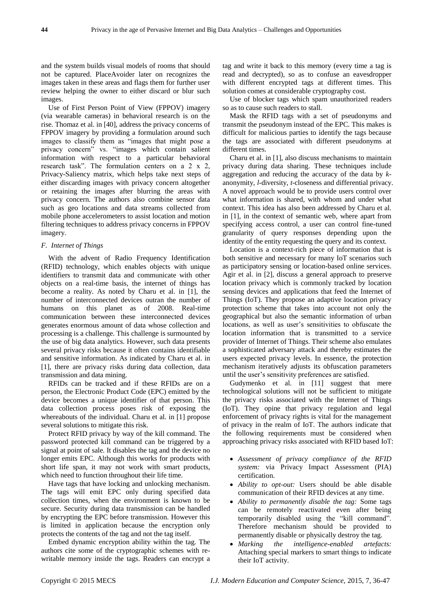and the system builds visual models of rooms that should not be captured. PlaceAvoider later on recognizes the images taken in these areas and flags them for further user review helping the owner to either discard or blur such images.

Use of First Person Point of View (FPPOV) imagery (via wearable cameras) in behavioral research is on the rise. Thomaz et al. in [40], address the privacy concerns of FPPOV imagery by providing a formulation around such images to classify them as "images that might pose a privacy concern" vs. "images which contain salient information with respect to a particular behavioral research task". The formulation centers on a 2 x 2, Privacy-Saliency matrix, which helps take next steps of either discarding images with privacy concern altogether or retaining the images after blurring the areas with privacy concern. The authors also combine sensor data such as geo locations and data streams collected from mobile phone accelerometers to assist location and motion filtering techniques to address privacy concerns in FPPOV imagery.

### *F. Internet of Things*

With the advent of Radio Frequency Identification (RFID) technology, which enables objects with unique identifiers to transmit data and communicate with other objects on a real-time basis, the internet of things has become a reality. As noted by Charu et al. in [1], the number of interconnected devices outran the number of humans on this planet as of 2008. Real-time communication between these interconnected devices generates enormous amount of data whose collection and processing is a challenge. This challenge is surmounted by the use of big data analytics. However, such data presents several privacy risks because it often contains identifiable and sensitive information. As indicated by Charu et al. in [1], there are privacy risks during data collection, data transmission and data mining.

RFIDs can be tracked and if these RFIDs are on a person, the Electronic Product Code (EPC) emitted by the device becomes a unique identifier of that person. This data collection process poses risk of exposing the whereabouts of the individual. Charu et al. in [1] propose several solutions to mitigate this risk.

Protect RFID privacy by way of the kill command. The password protected kill command can be triggered by a signal at point of sale. It disables the tag and the device no longer emits EPC. Although this works for products with short life span, it may not work with smart products, which need to function throughout their life time.

Have tags that have locking and unlocking mechanism. The tags will emit EPC only during specified data collection times, when the environment is known to be secure. Security during data transmission can be handled by encrypting the EPC before transmission. However this is limited in application because the encryption only protects the contents of the tag and not the tag itself.

Embed dynamic encryption ability within the tag. The authors cite some of the cryptographic schemes with rewritable memory inside the tags. Readers can encrypt a tag and write it back to this memory (every time a tag is read and decrypted), so as to confuse an eavesdropper with different encrypted tags at different times. This solution comes at considerable cryptography cost.

Use of blocker tags which spam unauthorized readers so as to cause such readers to stall.

Mask the RFID tags with a set of pseudonyms and transmit the pseudonym instead of the EPC. This makes is difficult for malicious parties to identify the tags because the tags are associated with different pseudonyms at different times.

Charu et al. in [1], also discuss mechanisms to maintain privacy during data sharing. These techniques include aggregation and reducing the accuracy of the data by *k*anonymity, *l*-diversity, *t*-closeness and differential privacy. A novel approach would be to provide users control over what information is shared, with whom and under what context. This idea has also been addressed by Charu et al. in [1], in the context of semantic web, where apart from specifying access control, a user can control fine-tuned granularity of query responses depending upon the identity of the entity requesting the query and its context.

Location is a context-rich piece of information that is both sensitive and necessary for many IoT scenarios such as participatory sensing or location-based online services. Agir et al. in [2], discuss a general approach to preserve location privacy which is commonly tracked by location sensing devices and applications that feed the Internet of Things (IoT). They propose an adaptive location privacy protection scheme that takes into account not only the geographical but also the semantic information of urban locations, as well as user's sensitivities to obfuscate the location information that is transmitted to a service provider of Internet of Things. Their scheme also emulates a sophisticated adversary attack and thereby estimates the users expected privacy levels. In essence, the protection mechanism iteratively adjusts its obfuscation parameters until the user's sensitivity preferences are satisfied.

Gudymenko et al. in [11] suggest that mere technological solutions will not be sufficient to mitigate the privacy risks associated with the Internet of Things (IoT). They opine that privacy regulation and legal enforcement of privacy rights is vital for the management of privacy in the realm of IoT. The authors indicate that the following requirements must be considered when approaching privacy risks associated with RFID based IoT:

- *Assessment of privacy compliance of the RFID system:* via Privacy Impact Assessment (PIA) certification.
- *Ability to opt-out:* Users should be able disable communication of their RFID devices at any time.
- *Ability to permanently disable the tag:* Some tags can be remotely reactivated even after being temporarily disabled using the "kill command". Therefore mechanism should be provided to permanently disable or physically destroy the tag.
- *Marking the intelligence-enabled artefacts:* Attaching special markers to smart things to indicate their IoT activity.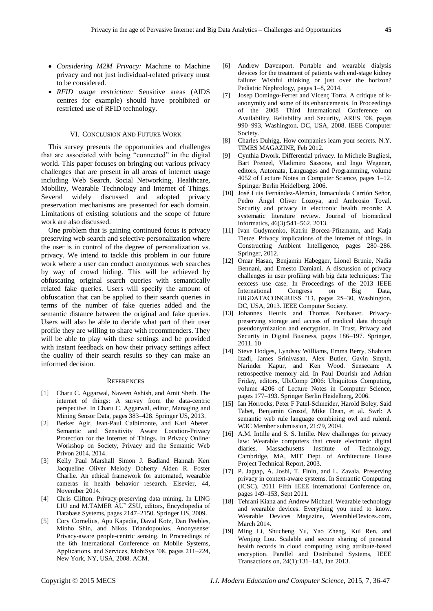- *Considering M2M Privacy:* Machine to Machine privacy and not just individual-related privacy must to be considered.
- *RFID usage restriction:* Sensitive areas (AIDS centres for example) should have prohibited or restricted use of RFID technology.

#### VI. CONCLUSION AND FUTURE WORK

This survey presents the opportunities and challenges that are associated with being "connected" in the digital world. This paper focuses on bringing out various privacy challenges that are present in all areas of internet usage including Web Search, Social Networking, Healthcare, Mobility, Wearable Technology and Internet of Things. Several widely discussed and adopted privacy preservation mechanisms are presented for each domain. Limitations of existing solutions and the scope of future work are also discussed.

One problem that is gaining continued focus is privacy preserving web search and selective personalization where the user is in control of the degree of personalization vs. privacy. We intend to tackle this problem in our future work where a user can conduct anonymous web searches by way of crowd hiding. This will be achieved by obfuscating original search queries with semantically related fake queries. Users will specify the amount of obfuscation that can be applied to their search queries in terms of the number of fake queries added and the semantic distance between the original and fake queries. Users will also be able to decide what part of their user profile they are willing to share with recommenders. They will be able to play with these settings and be provided with instant feedback on how their privacy settings affect the quality of their search results so they can make an informed decision.

#### **REFERENCES**

- [1] Charu C. Aggarwal, Naveen Ashish, and Amit Sheth. The internet of things: A survey from the data-centric perspective. In Charu C. Aggarwal, editor, Managing and Mining Sensor Data, pages 383–428. Springer US, 2013.
- [2] Berker Agir, Jean-Paul Calbimonte, and Karl Aberer. Semantic and Sensitivity Aware Location-Privacy Protection for the Internet of Things. In Privacy Online: Workshop on Society, Privacy and the Semantic Web Privon 2014, 2014.
- [3] Kelly Paul Marshall Simon J. Badland Hannah Kerr Jacqueline Oliver Melody Doherty Aiden R. Foster Charlie. An ethical framework for automated, wearable cameras in health behavior research. Elsevier, 44, November 2014.
- [4] Chris Clifton. Privacy-preserving data mining. In LING LIU and M.TAMER ÃU˝ ZSU, editors, Encyclopedia of Database Systems, pages 2147–2150. Springer US, 2009.
- [5] Cory Cornelius, Apu Kapadia, David Kotz, Dan Peebles, Minho Shin, and Nikos Triandopoulos. Anonysense: Privacy-aware people-centric sensing. In Proceedings of the 6th International Conference on Mobile Systems, Applications, and Services, MobiSys '08, pages 211–224, New York, NY, USA, 2008. ACM.
- [6] Andrew Davenport. Portable and wearable dialysis devices for the treatment of patients with end-stage kidney failure: Wishful thinking or just over the horizon? Pediatric Nephrology, pages 1–8, 2014.
- [7] Josep Domingo-Ferrer and Vicenç Torra. A critique of kanonymity and some of its enhancements. In Proceedings of the 2008 Third International Conference on Availability, Reliability and Security, ARES '08, pages 990–993, Washington, DC, USA, 2008. IEEE Computer Society.
- [8] Charles Duhigg. How companies learn your secrets, N.Y. TIMES MAGAZINE, Feb 2012.
- [9] Cynthia Dwork. Differential privacy. In Michele Bugliesi, Bart Preneel, Vladimiro Sassone, and Ingo Wegener, editors, Automata, Languages and Programming, volume 4052 of Lecture Notes in Computer Science, pages 1–12. Springer Berlin Heidelberg, 2006.
- [10] José Luis Fernández-Alemán, Inmaculada Carrión Señor, Pedro Ángel Oliver Lozoya, and Ambrosio Toval. Security and privacy in electronic health records: A systematic literature review. Journal of biomedical informatics, 46(3):541–562, 2013.
- [11] Ivan Gudymenko, Katrin Borcea-Pfitzmann, and Katja Tietze. Privacy implications of the internet of things. In Constructing Ambient Intelligence, pages 280–286. Springer, 2012.
- [12] Omar Hasan, Benjamin Habegger, Lionel Brunie, Nadia Bennani, and Ernesto Damiani. A discussion of privacy challenges in user profiling with big data techniques: The eexcess use case. In Proceedings of the 2013 IEEE International Congress on Big Data, BIGDATACONGRESS '13, pages 25–30, Washington, DC, USA, 2013. IEEE Computer Society.
- [13] Johannes Heurix and Thomas Neubauer. Privacypreserving storage and access of medical data through pseudonymization and encryption. In Trust, Privacy and Security in Digital Business, pages 186–197. Springer, 2011. 10
- [14] Steve Hodges, Lyndsay Williams, Emma Berry, Shahram Izadi, James Srinivasan, Alex Butler, Gavin Smyth, Narinder Kapur, and Ken Wood. Sensecam: A retrospective memory aid. In Paul Dourish and Adrian Friday, editors, UbiComp 2006: Ubiquitous Computing, volume 4206 of Lecture Notes in Computer Science, pages 177–193. Springer Berlin Heidelberg, 2006.
- [15] Ian Horrocks, Peter F Patel-Schneider, Harold Boley, Said Tabet, Benjamin Grosof, Mike Dean, et al. Swrl: A semantic web rule language combining owl and ruleml. W3C Member submission, 21:79, 2004.
- [16] A.M. Intille and S. S. Intille. New challenges for privacy law: Wearable computers that create electronic digital diaries. Massachusetts Institute of Technology, Cambridge, MA, MIT Dept. of Architecture House Project Technical Report, 2003.
- [17] P. Jagtap, A. Joshi, T. Finin, and L. Zavala. Preserving privacy in context-aware systems. In Semantic Computing (ICSC), 2011 Fifth IEEE International Conference on, pages 149–153, Sept 2011.
- [18] Tehrani Kiana and Andrew Michael. Wearable technology and wearable devices: Everything you need to know. Wearable Devices Magazine, WearableDevices.com, March 2014.
- [19] Ming Li, Shucheng Yu, Yao Zheng, Kui Ren, and Wenjing Lou. Scalable and secure sharing of personal health records in cloud computing using attribute-based encryption. Parallel and Distributed Systems, IEEE Transactions on, 24(1):131–143, Jan 2013.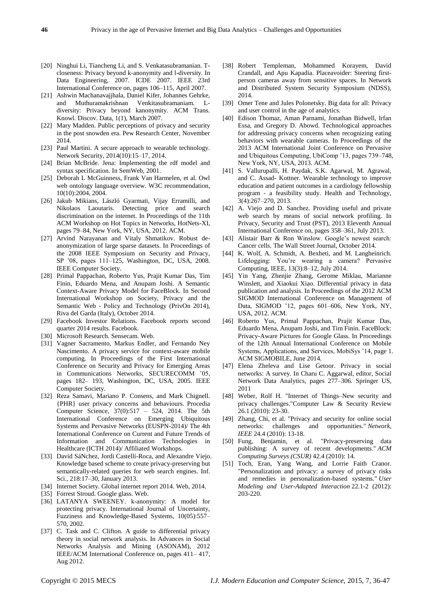- [20] Ninghui Li, Tiancheng Li, and S. Venkatasubramanian. Tcloseness: Privacy beyond k-anonymity and l-diversity. In Data Engineering, 2007. ICDE 2007. IEEE 23rd International Conference on, pages 106–115, April 2007.
- [21] Ashwin Machanavajjhala, Daniel Kifer, Johannes Gehrke, and Muthuramakrishnan Venkitasubramaniam. Ldiversity: Privacy beyond kanonymity. ACM Trans. Knowl. Discov. Data, 1(1), March 2007.
- [22] Mary Madden. Public perceptions of privacy and security in the post snowden era. Pew Research Center, November 2014.
- [23] Paul Martini. A secure approach to wearable technology. Network Security, 2014(10):15–17, 2014.
- [24] Brian McBride. Jena: Implementing the rdf model and syntax specification. In SemWeb, 2001.
- [25] Deborah L McGuinness, Frank Van Harmelen, et al. Owl web ontology language overview. W3C recommendation, 10(10):2004, 2004.
- [26] Jakub Mikians, László Gyarmati, Vijay Erramilli, and Nikolaos Laoutaris. Detecting price and search discrimination on the internet. In Proceedings of the 11th ACM Workshop on Hot Topics in Networks, HotNets-XI, pages 79–84, New York, NY, USA, 2012. ACM.
- [27] Arvind Narayanan and Vitaly Shmatikov. Robust deanonymization of large sparse datasets. In Proceedings of the 2008 IEEE Symposium on Security and Privacy, SP '08, pages 111–125, Washington, DC, USA, 2008. IEEE Computer Society.
- [28] Primal Pappachan, Roberto Yus, Prajit Kumar Das, Tim Finin, Eduardo Mena, and Anupam Joshi. A Semantic Context-Aware Privacy Model for FaceBlock. In Second International Workshop on Society, Privacy and the Semantic Web - Policy and Technology (PrivOn 2014), Riva del Garda (Italy), October 2014.
- [29] Facebook Investor Relations. Facebook reports second quarter 2014 results. Facebook.
- [30] Microsoft Research. Sensecam. Web.
- [31] Vagner Sacramento, Markus Endler, and Fernando Ney Nascimento. A privacy service for context-aware mobile computing. In Proceedings of the First International Conference on Security and Privacy for Emerging Areas in Communications Networks, SECURECOMM '05, pages 182– 193, Washington, DC, USA, 2005. IEEE Computer Society.
- [32] Reza Samavi, Mariano P. Consens, and Mark Chignell. {PHR} user privacy concerns and behaviours. Procedia Computer Science, 37(0):517 – 524, 2014. The 5th International Conference on Emerging Ubiquitous Systems and Pervasive Networks (EUSPN-2014)/ The 4th International Conference on Current and Future Trends of Information and Communication Technologies in Healthcare (ICTH 2014)/ Affiliated Workshops.
- [33] David S åNchez, Jordi Castell íRoca, and Alexandre Viejo. Knowledge based scheme to create privacy-preserving but semantically-related queries for web search engines. Inf. Sci., 218:17–30, January 2013.
- [34] Internet Society. Global internet report 2014. Web, 2014.
- [35] Forrest Stroud. Google glass. Web.
- [36] LATANYA SWEENEY. k-anonymity: A model for protecting privacy. International Journal of Uncertainty, Fuzziness and Knowledge-Based Systems, 10(05):557– 570, 2002.
- [37] C. Task and C. Clifton. A guide to differential privacy theory in social network analysis. In Advances in Social Networks Analysis and Mining (ASONAM), 2012 IEEE/ACM International Conference on, pages 411– 417, Aug 2012.
- [38] Robert Templeman, Mohammed Korayem, David Crandall, and Apu Kapadia. Placeavoider: Steering firstperson cameras away from sensitive spaces. In Network and Distributed System Security Symposium (NDSS), 2014.
- [39] Omer Tene and Jules Polonetsky. Big data for all: Privacy and user control in the age of analytics.
- [40] Edison Thomaz, Aman Parnami, Jonathan Bidwell, Irfan Essa, and Gregory D. Abowd. Technological approaches for addressing privacy concerns when recognizing eating behaviors with wearable cameras. In Proceedings of the 2013 ACM International Joint Conference on Pervasive and Ubiquitous Computing, UbiComp '13, pages 739–748, New York, NY, USA, 2013. ACM.
- [41] S. Vallurupalli, H. Paydak, S.K. Agarwal, M. Agrawal, and C. Assad- Kottner. Wearable technology to improve education and patient outcomes in a cardiology fellowship program - a feasibility study. Health and Technology, 3(4):267–270, 2013.
- [42] A. Viejo and D. Sanchez. Providing useful and private web search by means of social network profiling. In Privacy, Security and Trust (PST), 2013 Eleventh Annual International Conference on, pages 358–361, July 2013.
- [43] Alistair Barr & Ron Winslow. Google's newest search: Cancer cells. The Wall Street Journal, October 2014.
- [44] K. Wolf, A. Schmidt, A. Bexheti, and M. Langheinrich. Lifelogging: You're wearing a camera? Pervasive Computing, IEEE, 13(3):8–12, July 2014.
- [45] Yin Yang, Zhenjie Zhang, Gerome Miklau, Marianne Winslett, and Xiaokui Xiao. Differential privacy in data publication and analysis. In Proceedings of the 2012 ACM SIGMOD International Conference on Management of Data, SIGMOD '12, pages 601-606, New York, NY, USA, 2012. ACM.
- [46] Roberto Yus, Primal Pappachan, Prajit Kumar Das, Eduardo Mena, Anupam Joshi, and Tim Finin. FaceBlock: Privacy-Aware Pictures for Google Glass. In Proceedings of the 12th Annual International Conference on Mobile Systems, Applications, and Services, MobiSys '14, page 1. ACM SIGMOBILE, June 2014.
- [47] Elena Zheleva and Lise Getoor. Privacy in social networks: A survey. In Charu C. Aggarwal, editor, Social Network Data Analytics, pages 277–306. Springer US, 2011
- [48] Weber, Rolf H. "Internet of Things–New security and privacy challenges."Computer Law & Security Review 26.1 (2010): 23-30.
- [49] Zhang, Chi, et al. "Privacy and security for online social networks: challenges and opportunities." *Network, IEEE* 24.4 (2010): 13-18.
- [50] Fung, Benjamin, et al. "Privacy-preserving data publishing: A survey of recent developments." *ACM Computing Surveys (CSUR)* 42.4 (2010): 14.
- [51] Toch, Eran, Yang Wang, and Lorrie Faith Cranor. "Personalization and privacy: a survey of privacy risks and remedies in personalization-based systems." *User Modeling and User-Adapted Interaction* 22.1-2 (2012): 203-220.